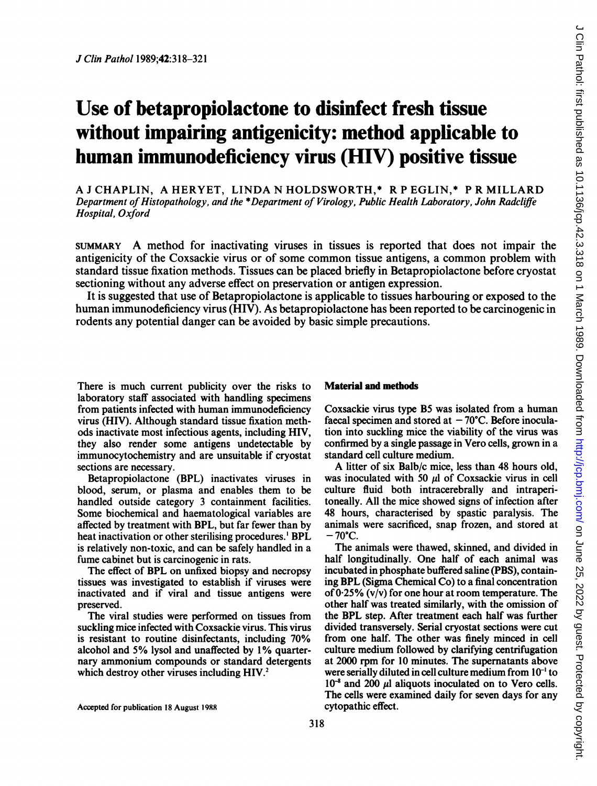# Use of betapropiolactone to disinfect fresh tissue without impairing antigenicity: method applicable to human immunodeficiency virus (HIV) positive tissue

A <sup>J</sup> CHAPLIN, A HERYET, LINDA N HOLDSWORTH,\* R P EGLIN,\* P R MILLARD Department of Histopathology, and the \*Department of Virology, Public Health Laboratory, John Radcliffe Hospital, Oxford

SUMMARY A method for inactivating viruses in tissues is reported that does not impair the antigenicity of the Coxsackie virus or of some common tissue antigens, a common problem with standard tissue fixation methods. Tissues can be placed briefly in Betapropiolactone before cryostat sectioning without any adverse effect on preservation or antigen expression.

It is suggested that use of Betapropiolactone is applicable to tissues harbouring or exposed to the human immunodeficiency virus (HIV). As betapropiolactone has been reported to be carcinogenic in rodents any potential danger can be avoided by basic simple precautions.

There is much current publicity over the risks to laboratory staff associated with handling specimens from patients infected with human immunodeficiency virus (HIV). Although standard tissue fixation methods inactivate most infectious agents, including HIV, they also render some antigens undetectable by immunocytochemistry and are unsuitable if cryostat sections are necessary.

Betapropiolactone (BPL) inactivates viruses in blood, serum, or plasma and enables them to be handled outside category 3 containment facilities. Some biochemical and haematological variables are affected by treatment with BPL, but far fewer than by heat inactivation or other sterilising procedures.' BPL is relatively non-toxic, and can be safely handled in a fume cabinet but is carcinogenic in rats.

The effect of BPL on unfixed biopsy and necropsy tissues was investigated to establish if viruses were inactivated and if viral and tissue antigens were preserved.

The viral studies were performed on tissues from suckling mice infected with Coxsackie virus. This virus is resistant to routine disinfectants, including 70% alcohol and 5% lysol and unaffected by 1% quarternary ammonium compounds or standard detergents which destroy other viruses including HIV.<sup>2</sup>

#### Material and methods

Coxsackie virus type B5 was isolated from a human faecal specimen and stored at  $-70^{\circ}$ C. Before inoculation into suckling mice the viability of the virus was confirmed by a single passage in Vero cells, grown in a standard cell culture medium.

A litter of six Balb/c mice, less than 48 hours old, was inoculated with 50  $\mu$ l of Coxsackie virus in cell culture fluid both intracerebrally and intraperitoneally. All the mice showed signs of infection after 48 hours, characterised by spastic paralysis. The animals were sacrificed, snap frozen, and stored at  $-70^{\circ}$ C.

The animals were thawed, skinned, and divided in half longitudinally. One half of each animal was incubated in phosphate buffered saline (PBS), containing BPL (Sigma Chemical Co) to a final concentration of  $0.25\%$  (v/v) for one hour at room temperature. The other half was treated similarly, with the omission of the BPL step. After treatment each half was further divided transversely. Serial cryostat sections were cut from one half. The other was finely minced in cell culture medium followed by clarifying centrifugation at 2000 rpm for 10 minutes. The supernatants above were serially diluted in cell culture medium from 10-' to  $10^{-8}$  and 200  $\mu$ l aliquots inoculated on to Vero cells. The cells were examined daily for seven days for any cytopathic effect.

Accepted for publication 18 August 1988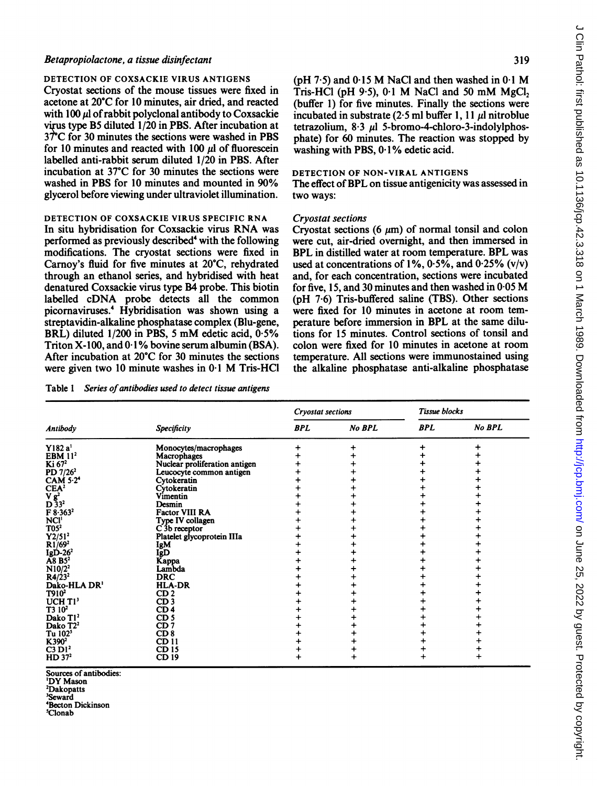#### Betapropiolactone, a tissue disinfectant

### DETECTION OF COXSACKIE VIRUS ANTIGENS

Cryostat sections of the mouse tissues were fixed in acetone at 20°C for 10 minutes, air dried, and reacted with 100 µ of rabbit polyclonal antibody to Coxsackie virus type B5 diluted 1/20 in PBS. After incubation at 3TC for 30 minutes the sections were washed in PBS for 10 minutes and reacted with 100  $\mu$ l of fluorescein labelled anti-rabbit serum diluted 1/20 in PBS. After incubation at 37°C for 30 minutes the sections were washed in PBS for <sup>10</sup> minutes and mounted in 90% glycerol before viewing under ultraviolet illumination.

#### DETECTION OF COXSACKIE VIRUS SPECIFIC RNA

In situ hybridisation for Coxsackie virus RNA was performed as previously described<sup>4</sup> with the following modifications. The cryostat sections were fixed in Carnoy's fluid for five minutes at 20°C, rehydrated through an ethanol series, and hybridised with heat denatured Coxsackie virus type B4 probe. This biotin labelled cDNA probe detects all the common picornaviruses.4 Hybridisation was shown using a streptavidin-alkaline phosphatase complex (Blu-gene, BRL) diluted 1/200 in PBS, 5 mM edetic acid, 0.5% Triton X-100, and 01% bovine serum albumin (BSA). After incubation at 20°C for 30 minutes the sections were given two <sup>10</sup> minute washes in <sup>0</sup> <sup>1</sup> M Tris-HCI

Table 1 Series of antibodies used to detect tissue antigens

|                          | Specificity                   | <b>Cryostat sections</b> |        | Tissue blocks |        |
|--------------------------|-------------------------------|--------------------------|--------|---------------|--------|
| <b>Antibody</b>          |                               | <b>BPL</b>               | No BPL | <b>BPL</b>    | No BPL |
| Y182 a'                  | Monocytes/macrophages         |                          | +      |               |        |
| EBM $112$                | Macrophages                   |                          |        |               |        |
| Ki $672$                 | Nuclear proliferation antigen |                          |        |               |        |
| PD $7/26^2$              | Leucocyte common antigen      |                          |        |               |        |
| CAM 5.2 <sup>4</sup>     | Cytokeratin                   |                          |        |               |        |
| CEA <sup>2</sup>         | Cytokeratin                   |                          |        |               |        |
| V g <sup>2</sup>         | Vimentin                      |                          |        |               |        |
| $D\bar{3}3^{2}$          | Desmin                        |                          |        |               |        |
| $F 8.363^2$              | <b>Factor VIII RA</b>         |                          |        |               |        |
| NCI <sup>'</sup>         | Type IV collagen              |                          |        |               |        |
| T05 <sup>2</sup>         | $C$ 3b receptor               |                          |        |               |        |
| Y2/51 <sup>2</sup>       | Platelet glycoprotein IIIa    |                          |        |               |        |
| $R1/69^2$                | IgM                           |                          |        |               |        |
| $IgD-262$                | IgD                           |                          |        |               |        |
| A8 B5 <sup>2</sup>       | Kappa                         |                          |        |               |        |
| $N10/2^2$                | Lambda                        |                          |        |               |        |
| $R4/23^2$                | <b>DRC</b>                    |                          |        |               |        |
| Dako-HLA DR <sup>1</sup> | <b>HLA-DR</b>                 |                          |        |               |        |
| T910 <sup>2</sup>        | CD <sub>2</sub>               |                          |        |               |        |
| UCH T <sub>1</sub>       | CD <sub>3</sub>               |                          |        |               |        |
| $T310^2$                 | CD <sub>4</sub>               |                          |        |               |        |
| Dako T1 <sup>2</sup>     | CD <sub>5</sub>               |                          |        |               |        |
| Dako T <sub>22</sub>     | CD <sub>7</sub>               |                          |        |               |        |
| Tu 102 <sup>5</sup>      | CD <sub>8</sub>               |                          |        |               |        |
| K390 <sup>2</sup>        | CD 11                         |                          |        |               |        |
| C3 D1 <sup>2</sup>       | CD 15                         |                          |        |               |        |
| HD 37 <sup>2</sup>       | CD 19                         | ┿                        |        | +             | +      |

Sources of antibodies: 'DY Mason

2Dakopatts

Seward

4Becton Dickinson

'Clonab

 $\subset$ 

( $pH$  7.5) and 0.15 M NaCl and then washed in 0.1 M Tris-HCl (pH  $9.5$ ),  $0.1$  M NaCl and 50 mM MgCl, (buffer 1) for five minutes. Finally the sections were incubated in substrate  $(2.5 \text{ ml buffer } 1, 11 \mu$  nitroblue tetrazolium,  $8.3 \mu$ l 5-bromo-4-chloro-3-indolylphosphate) for 60 minutes. The reaction was stopped by washing with PBS, 0.1% edetic acid.

#### DETECTION OF NON-VIRAL ANTIGENS

The effect of BPL on tissue antigenicity was assessed in two ways:

#### Cryostat sections

Cryostat sections  $(6 \mu m)$  of normal tonsil and colon were cut, air-dried overnight, and then immersed in BPL in distilled water at room temperature. BPL was used at concentrations of  $1\%$ ,  $0.5\%$ , and  $0.25\%$  (v/v) and, for each concentration, sections were incubated for five, 15, and <sup>30</sup> minutes and then washed in 0-05 M (pH 7-6) Tris-buffered saline (TBS). Other sections were fixed for <sup>10</sup> minutes in acetone at room temperature before immersion in BPL at the same dilutions for 15 minutes. Control sections of tonsil and colon were fixed for 10 minutes in acetone at room temperature. All sections were immunostained using the alkaline phosphatase anti-alkaline phosphatase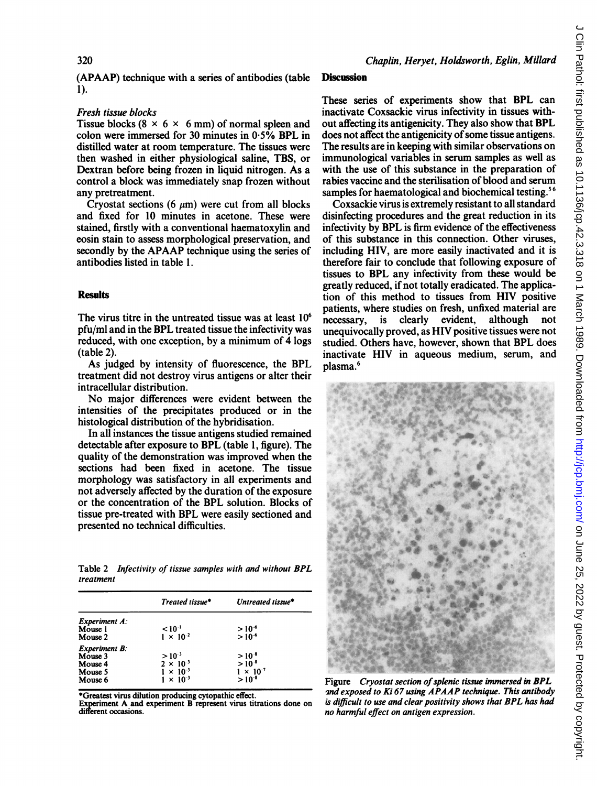(APAAP) technique with a series of antibodies (table Discussion 1).

### Fresh tissue blocks

Tissue blocks (8  $\times$  6  $\times$  6 mm) of normal spleen and colon were immersed for 30 minutes in  $0.5\%$  BPL in distilled water at room temperature. The tissues were then washed in either physiological saline, TBS, or Dextran before being frozen in liquid nitrogen. As a control a block was immediately snap frozen without any pretreatment.

Cryostat sections (6  $\mu$ m) were cut from all blocks and fixed for 10 minutes in acetone. These were stained, firstly with a conventional haematoxylin and eosin stain to assess morphological preservation, and secondly by the APAAP technique using the series of antibodies listed in table 1.

The virus titre in the untreated tissue was at least  $10^6$  necessary,  $pfu/ml$  and in the BPL treated tissue the infectivity was reduced, with one exception, by a minimum of 4 logs (table 2).

As judged by intensity of fluorescence, the BPL plasma.<sup>6</sup> treatment did not destroy virus antigens or alter their intracellular distribution.

No major differences were evident between the intensities of the precipitates produced or in the histological distribution of the hybridisation.

In all instances the tissue antigens studied remained detectable after exposure to BPL (table 1, figure). The quality of the demonstration was improved when the sections had been fixed in acetone. The tissue morphology was satisfactory in all experiments and not adversely affected by the duration of the exposure or the concentration of the BPL solution. Blocks of tissue pre-treated with BPL were easily sectioned and presented no technical difficulties.

Table <sup>2</sup> Infectivity of tissue samples with and without BPL treatment

|                      | Treated tissue*                  | Untreated tissue*                   |
|----------------------|----------------------------------|-------------------------------------|
| <b>Experiment A:</b> |                                  |                                     |
| Mouse 1              |                                  |                                     |
| Mouse 2              | $\frac{10^{1}}{1 \times 10^{2}}$ | $>10^{-6}$<br>$>10^{-6}$            |
| <b>Experiment B:</b> |                                  |                                     |
| Mouse 3              | $>10^{-3}$                       |                                     |
| Mouse 4              | $2 \times 10^{-3}$               | $>10^{-8}$<br>$>10^{-8}$            |
| Mouse 5              | $1 \times 10^{-3}$               |                                     |
| Mouse 6              | $1 \times 10^{-3}$               | $\frac{1 \times 10^{-7}}{510^{-8}}$ |

\*Greatest virus dilution producing cytopathic effect.

Experiment A and experiment B represent virus titrations done on different occasions.

These series of experiments show that BPL can inactivate Coxsackie virus infectivity in tissues without affecting its antigenicity. They also show that BPL does not affect the antigenicity of some tissue antigens. The results are in keeping with similar observations on immunological variables in serum samples as well as with the use of this substance in the preparation of rabies vaccine and the sterilisation of blood and serum samples for haematological and biochemical testing.<sup>56</sup>

tissues to <sup>I</sup> BPL any infectivity from these would be greatly redi uced, if not totally eradicated. The applica-**Results** tion of this method to tissues from HIV positive patients, where studies on fresh, unfixed material are (table 2). inactivate HIV in aqueous medium, serum, and Coxsackie virus is extremely resistant to all standard disinfecting procedures and the great reduction in its infectivity by BPL is firm evidence of the effectiveness of this substance in this connection. Other viruses, including HIV, are more easily inactivated and it is therefore fair to conclude that following exposure of is clearly evident, although not unequivocally proved, as HIV positive tissues were not studied. Others have, however, shown that BPL does



Figure Cryostat section of splenic tissue immersed in BPL and exposed to Ki 67 using APAAP technique. This antibody is difficult to use and clear positivity shows that BPL has had no harmful effect on antigen expression.